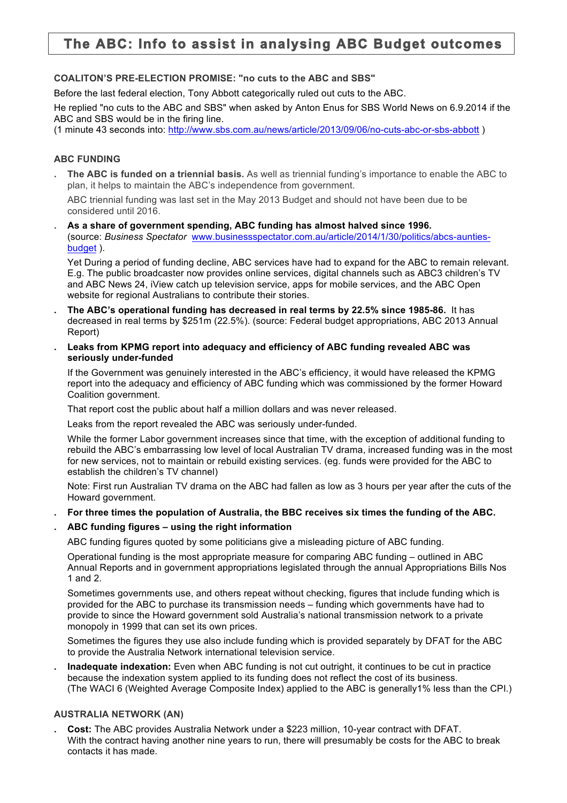# **The ABC: Info to assist in analysing ABC Budget outcomes**

## **COALITON'S PRE-ELECTION PROMISE: "no cuts to the ABC and SBS"**

Before the last federal election, Tony Abbott categorically ruled out cuts to the ABC.

He replied "no cuts to the ABC and SBS" when asked by Anton Enus for SBS World News on 6.9.2014 if the ABC and SBS would be in the firing line.

(1 minute 43 seconds into: http://www.sbs.com.au/news/article/2013/09/06/no-cuts-abc-or-sbs-abbott )

### **ABC FUNDING**

**. The ABC is funded on a triennial basis.** As well as triennial funding's importance to enable the ABC to plan, it helps to maintain the ABC's independence from government.

ABC triennial funding was last set in the May 2013 Budget and should not have been due to be considered until 2016.

**. As a share of government spending, ABC funding has almost halved since 1996.** (source: *Business Spectator* www.businessspectator.com.au/article/2014/1/30/politics/abcs-auntiesbudget ).

Yet During a period of funding decline, ABC services have had to expand for the ABC to remain relevant. E.g. The public broadcaster now provides online services, digital channels such as ABC3 children's TV and ABC News 24, iView catch up television service, apps for mobile services, and the ABC Open website for regional Australians to contribute their stories.

- **. The ABC's operational funding has decreased in real terms by 22.5% since 1985-86.** It has decreased in real terms by \$251m (22.5%). (source: Federal budget appropriations, ABC 2013 Annual Report)
- **. Leaks from KPMG report into adequacy and efficiency of ABC funding revealed ABC was seriously under-funded**

If the Government was genuinely interested in the ABC's efficiency, it would have released the KPMG report into the adequacy and efficiency of ABC funding which was commissioned by the former Howard Coalition government.

That report cost the public about half a million dollars and was never released.

Leaks from the report revealed the ABC was seriously under-funded.

While the former Labor government increases since that time, with the exception of additional funding to rebuild the ABC's embarrassing low level of local Australian TV drama, increased funding was in the most for new services, not to maintain or rebuild existing services. (eg. funds were provided for the ABC to establish the children's TV channel)

Note: First run Australian TV drama on the ABC had fallen as low as 3 hours per year after the cuts of the Howard government.

**. For three times the population of Australia, the BBC receives six times the funding of the ABC.**

### **. ABC funding figures – using the right information**

ABC funding figures quoted by some politicians give a misleading picture of ABC funding.

Operational funding is the most appropriate measure for comparing ABC funding – outlined in ABC Annual Reports and in government appropriations legislated through the annual Appropriations Bills Nos 1 and 2.

Sometimes governments use, and others repeat without checking, figures that include funding which is provided for the ABC to purchase its transmission needs – funding which governments have had to provide to since the Howard government sold Australia's national transmission network to a private monopoly in 1999 that can set its own prices.

Sometimes the figures they use also include funding which is provided separately by DFAT for the ABC to provide the Australia Network international television service.

**. Inadequate indexation:** Even when ABC funding is not cut outright, it continues to be cut in practice because the indexation system applied to its funding does not reflect the cost of its business. (The WACI 6 (Weighted Average Composite Index) applied to the ABC is generally1% less than the CPI.)

### **AUSTRALIA NETWORK (AN)**

**. Cost:** The ABC provides Australia Network under a \$223 million, 10-year contract with DFAT. With the contract having another nine years to run, there will presumably be costs for the ABC to break contacts it has made.